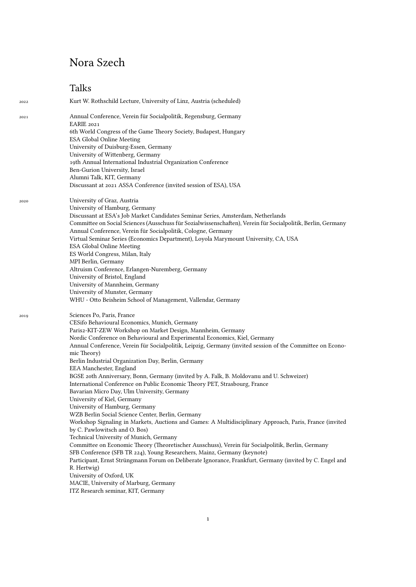## Nora Szech

## Talks

2022 Kurt W. Rothschild Lecture, University of Linz, Austria (scheduled) 2021 Annual Conference, Verein für Socialpolitik, Regensburg, Germany EARIE 2021 6th World Congress of the Game Theory Society, Budapest, Hungary ESA Global Online Meeting University of Duisburg-Essen, Germany University of Wittenberg, Germany 19th Annual International Industrial Organization Conference Ben-Gurion University, Israel Alumni Talk, KIT, Germany Discussant at 2021 ASSA Conference (invited session of ESA), USA 2020 University of Graz, Austria University of Hamburg, Germany Discussant at ESA's Job Market Candidates Seminar Series, Amsterdam, Netherlands Committee on Social Sciences (Ausschuss für Sozialwissenschaften), Verein für Socialpolitik, Berlin, Germany Annual Conference, Verein für Socialpolitik, Cologne, Germany Virtual Seminar Series (Economics Department), Loyola Marymount University, CA, USA ESA Global Online Meeting ES World Congress, Milan, Italy MPI Berlin, Germany Altruism Conference, Erlangen-Nuremberg, Germany University of Bristol, England University of Mannheim, Germany University of Munster, Germany WHU - Otto Beisheim School of Management, Vallendar, Germany 2019 Sciences Po, Paris, France CESifo Behavioural Economics, Munich, Germany Paris2-KIT-ZEW Workshop on Market Design, Mannheim, Germany Nordic Conference on Behavioural and Experimental Economics, Kiel, Germany Annual Conference, Verein für Socialpolitik, Leipzig, Germany (invited session of the Committee on Economic Theory) Berlin Industrial Organization Day, Berlin, Germany EEA Manchester, England BGSE 20th Anniversary, Bonn, Germany (invited by A. Falk, B. Moldovanu and U. Schweizer) International Conference on Public Economic Theory PET, Strasbourg, France Bavarian Micro Day, Ulm University, Germany University of Kiel, Germany University of Hamburg, Germany WZB Berlin Social Science Center, Berlin, Germany Workshop Signaling in Markets, Auctions and Games: A Multidisciplinary Approach, Paris, France (invited by C. Pawlowitsch and O. Bos) Technical University of Munich, Germany Committee on Economic Theory (Theoretischer Ausschuss), Verein für Socialpolitik, Berlin, Germany SFB Conference (SFB TR 224), Young Researchers, Mainz, Germany (keynote) Participant, Ernst Strüngmann Forum on Deliberate Ignorance, Frankfurt, Germany (invited by C. Engel and R. Hertwig) University of Oxford, UK MACIE, University of Marburg, Germany ITZ Research seminar, KIT, Germany

1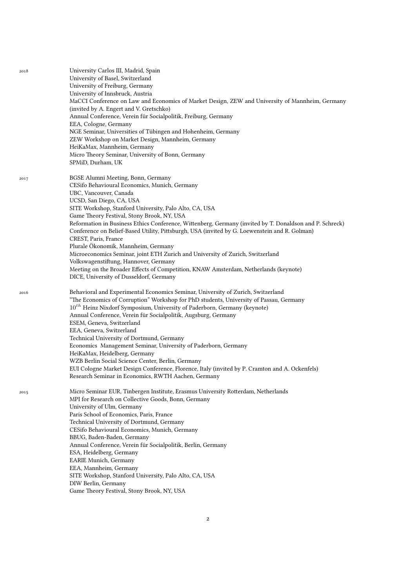| 2018 | University Carlos III, Madrid, Spain                                                                    |
|------|---------------------------------------------------------------------------------------------------------|
|      | University of Basel, Switzerland                                                                        |
|      | University of Freiburg, Germany                                                                         |
|      | University of Innsbruck, Austria                                                                        |
|      | MaCCI Conference on Law and Economics of Market Design, ZEW and University of Mannheim, Germany         |
|      | (invited by A. Engert and V. Gretschko)                                                                 |
|      | Annual Conference, Verein für Socialpolitik, Freiburg, Germany                                          |
|      | EEA, Cologne, Germany                                                                                   |
|      | NGE Seminar, Universities of Tübingen and Hohenheim, Germany                                            |
|      | ZEW Workshop on Market Design, Mannheim, Germany                                                        |
|      | HeiKaMax, Mannheim, Germany<br>Micro Theory Seminar, University of Bonn, Germany                        |
|      | SPMiD, Durham, UK                                                                                       |
|      |                                                                                                         |
| 2017 | BGSE Alumni Meeting, Bonn, Germany                                                                      |
|      | CESifo Behavioural Economics, Munich, Germany                                                           |
|      | UBC, Vancouver, Canada                                                                                  |
|      | UCSD, San Diego, CA, USA                                                                                |
|      | SITE Workshop, Stanford University, Palo Alto, CA, USA<br>Game Theory Festival, Stony Brook, NY, USA    |
|      | Reformation in Business Ethics Conference, Wittenberg, Germany (invited by T. Donaldson and P. Schreck) |
|      | Conference on Belief-Based Utility, Pittsburgh, USA (invited by G. Loewenstein and R. Golman)           |
|      | CREST, Paris, France                                                                                    |
|      | Plurale Ökonomik, Mannheim, Germany                                                                     |
|      | Microeconomics Seminar, joint ETH Zurich and University of Zurich, Switzerland                          |
|      | Volkswagenstiftung, Hannover, Germany                                                                   |
|      | Meeting on the Broader Effects of Competition, KNAW Amsterdam, Netherlands (keynote)                    |
|      | DICE, University of Dusseldorf, Germany                                                                 |
| 2016 | Behavioral and Experimental Economics Seminar, University of Zurich, Switzerland                        |
|      | "The Economics of Corruption" Workshop for PhD students, University of Passau, Germany                  |
|      | $10^{th}$ Heinz Nixdorf Symposium, University of Paderborn, Germany (keynote)                           |
|      | Annual Conference, Verein für Socialpolitik, Augsburg, Germany                                          |
|      | ESEM, Geneva, Switzerland                                                                               |
|      | EEA, Geneva, Switzerland                                                                                |
|      | Technical University of Dortmund, Germany                                                               |
|      | Economics Management Seminar, University of Paderborn, Germany                                          |
|      | HeiKaMax, Heidelberg, Germany<br>WZB Berlin Social Science Center, Berlin, Germany                      |
|      | EUI Cologne Market Design Conference, Florence, Italy (invited by P. Cramton and A. Ockenfels)          |
|      | Research Seminar in Economics, RWTH Aachen, Germany                                                     |
|      |                                                                                                         |
| 2015 | Micro Seminar EUR, Tinbergen Institute, Erasmus University Rotterdam, Netherlands                       |
|      | MPI for Research on Collective Goods, Bonn, Germany<br>University of Ulm, Germany                       |
|      | Paris School of Economics, Paris, France                                                                |
|      | Technical University of Dortmund, Germany                                                               |
|      | CESifo Behavioural Economics, Munich, Germany                                                           |
|      | BBUG, Baden-Baden, Germany                                                                              |
|      | Annual Conference, Verein für Socialpolitik, Berlin, Germany                                            |
|      | ESA, Heidelberg, Germany                                                                                |
|      | <b>EARIE Munich</b> , Germany                                                                           |
|      | EEA, Mannheim, Germany                                                                                  |
|      | SITE Workshop, Stanford University, Palo Alto, CA, USA                                                  |
|      | DIW Berlin, Germany                                                                                     |
|      | Game Theory Festival, Stony Brook, NY, USA                                                              |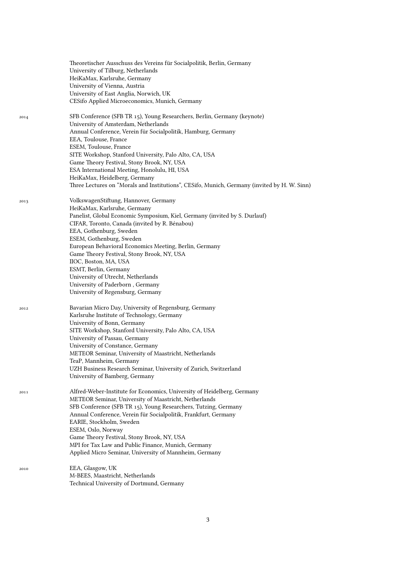|      | Theoretischer Ausschuss des Vereins für Socialpolitik, Berlin, Germany<br>University of Tilburg, Netherlands<br>HeiKaMax, Karlsruhe, Germany<br>University of Vienna, Austria<br>University of East Anglia, Norwich, UK                                                                                                                                                                                                                                                                                                               |
|------|---------------------------------------------------------------------------------------------------------------------------------------------------------------------------------------------------------------------------------------------------------------------------------------------------------------------------------------------------------------------------------------------------------------------------------------------------------------------------------------------------------------------------------------|
|      | CESifo Applied Microeconomics, Munich, Germany                                                                                                                                                                                                                                                                                                                                                                                                                                                                                        |
| 2014 | SFB Conference (SFB TR 15), Young Researchers, Berlin, Germany (keynote)<br>University of Amsterdam, Netherlands<br>Annual Conference, Verein für Socialpolitik, Hamburg, Germany<br>EEA, Toulouse, France<br>ESEM, Toulouse, France<br>SITE Workshop, Stanford University, Palo Alto, CA, USA<br>Game Theory Festival, Stony Brook, NY, USA<br>ESA International Meeting, Honolulu, HI, USA<br>HeiKaMax, Heidelberg, Germany<br>Three Lectures on "Morals and Institutions", CESifo, Munich, Germany (invited by H. W. Sinn)         |
| 2013 | VolkswagenStiftung, Hannover, Germany<br>HeiKaMax, Karlsruhe, Germany<br>Panelist, Global Economic Symposium, Kiel, Germany (invited by S. Durlauf)<br>CIFAR, Toronto, Canada (invited by R. Bénabou)<br>EEA, Gothenburg, Sweden<br>ESEM, Gothenburg, Sweden<br>European Behavioral Economics Meeting, Berlin, Germany<br>Game Theory Festival, Stony Brook, NY, USA<br>IIOC, Boston, MA, USA<br>ESMT, Berlin, Germany<br>University of Utrecht, Netherlands<br>University of Paderborn, Germany<br>University of Regensburg, Germany |
| 2012 | Bavarian Micro Day, University of Regensburg, Germany<br>Karlsruhe Institute of Technology, Germany<br>University of Bonn, Germany<br>SITE Workshop, Stanford University, Palo Alto, CA, USA<br>University of Passau, Germany<br>University of Constance, Germany<br>METEOR Seminar, University of Maastricht, Netherlands<br>TeaP, Mannheim, Germany<br>UZH Business Research Seminar, University of Zurich, Switzerland<br>University of Bamberg, Germany                                                                           |
| 2011 | Alfred-Weber-Institute for Economics, University of Heidelberg, Germany<br>METEOR Seminar, University of Maastricht, Netherlands<br>SFB Conference (SFB TR 15), Young Researchers, Tutzing, Germany<br>Annual Conference, Verein für Socialpolitik, Frankfurt, Germany<br>EARIE, Stockholm, Sweden<br>ESEM, Oslo, Norway<br>Game Theory Festival, Stony Brook, NY, USA<br>MPI for Tax Law and Public Finance, Munich, Germany<br>Applied Micro Seminar, University of Mannheim, Germany                                               |
| 2010 | EEA, Glasgow, UK<br>M-BEES, Maastricht, Netherlands<br>Technical University of Dortmund, Germany                                                                                                                                                                                                                                                                                                                                                                                                                                      |